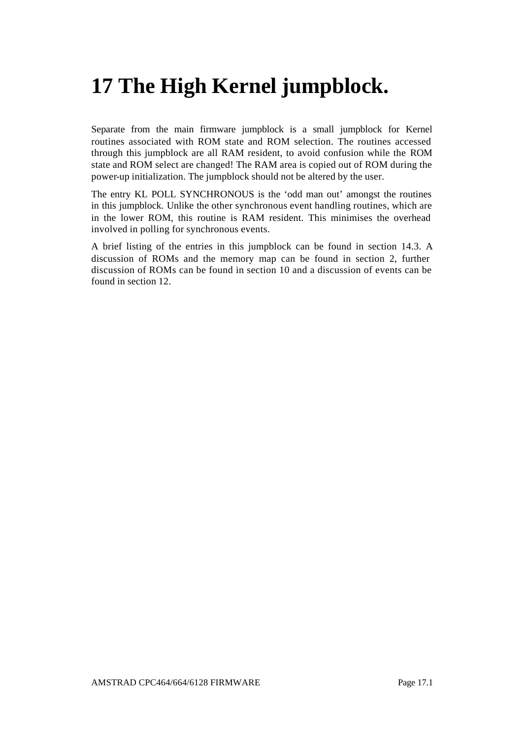# **17 The High Kernel jumpblock.**

Separate from the main firmware jumpblock is a small jumpblock for Kernel routines associated with ROM state and ROM selection. The routines accessed through this jumpblock are all RAM resident, to avoid confusion while the ROM state and ROM select are changed! The RAM area is copied out of ROM during the power-up initialization. The jumpblock should not be altered by the user.

The entry KL POLL SYNCHRONOUS is the 'odd man out' amongst the routines in this jumpblock. Unlike the other synchronous event handling routines, which are in the lower ROM, this routine is RAM resident. This minimises the overhead involved in polling for synchronous events.

A brief listing of the entries in this jumpblock can be found in section 14.3. A discussion of ROMs and the memory map can be found in section 2, further discussion of ROMs can be found in section 10 and a discussion of events can be found in section 12.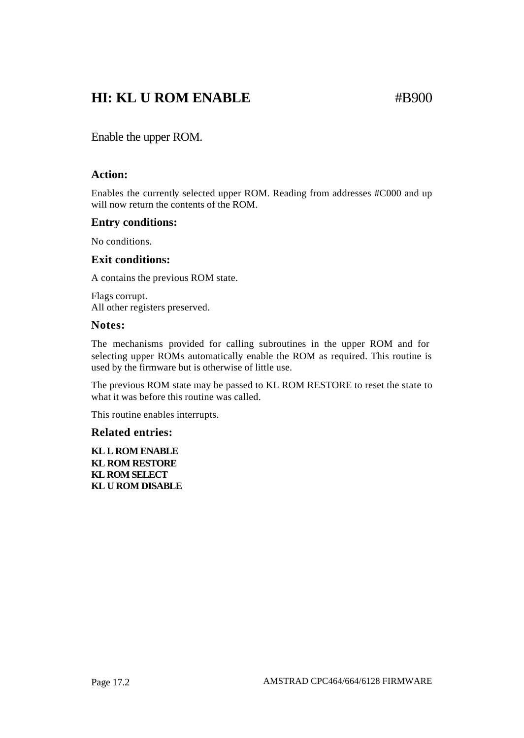### **HI: KL U ROM ENABLE** #B900

Enable the upper ROM.

### **Action:**

Enables the currently selected upper ROM. Reading from addresses #C000 and up will now return the contents of the ROM.

### **Entry conditions:**

No conditions.

### **Exit conditions:**

A contains the previous ROM state.

Flags corrupt. All other registers preserved.

### **Notes:**

The mechanisms provided for calling subroutines in the upper ROM and for selecting upper ROMs automatically enable the ROM as required. This routine is used by the firmware but is otherwise of little use.

The previous ROM state may be passed to KL ROM RESTORE to reset the state to what it was before this routine was called.

This routine enables interrupts.

### **Related entries:**

**KL L ROM ENABLE KL ROM RESTORE KL ROM SELECT KL U ROM DISABLE**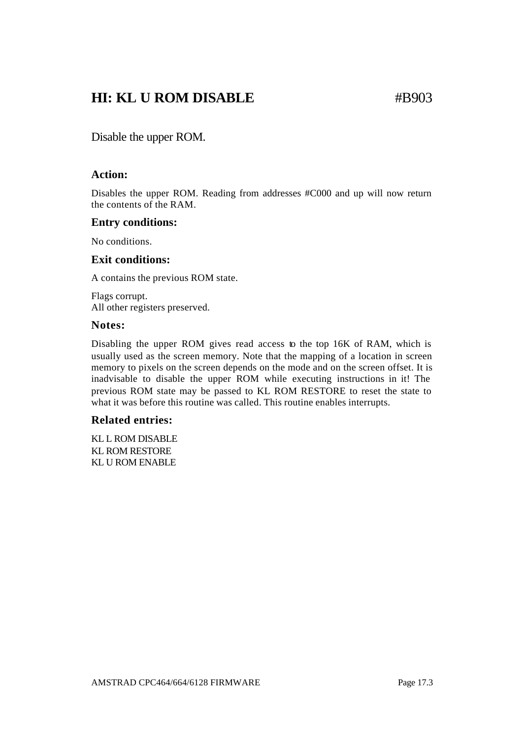### **HI: KL U ROM DISABLE** #B903

Disable the upper ROM.

### **Action:**

Disables the upper ROM. Reading from addresses #C000 and up will now return the contents of the RAM.

### **Entry conditions:**

No conditions.

### **Exit conditions:**

A contains the previous ROM state.

Flags corrupt. All other registers preserved.

### **Notes:**

Disabling the upper ROM gives read access to the top 16K of RAM, which is usually used as the screen memory. Note that the mapping of a location in screen memory to pixels on the screen depends on the mode and on the screen offset. It is inadvisable to disable the upper ROM while executing instructions in it! The previous ROM state may be passed to KL ROM RESTORE to reset the state to what it was before this routine was called. This routine enables interrupts.

### **Related entries:**

KL L ROM DISABLE KL ROM RESTORE KL U ROM ENABLE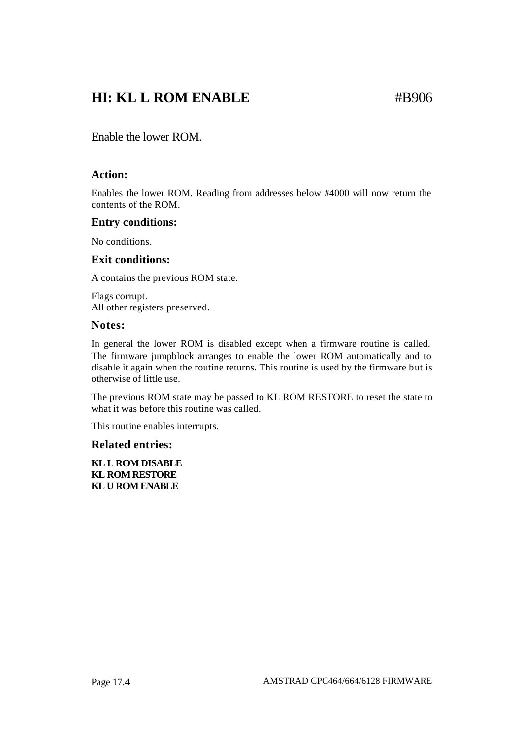### **HI: KL L ROM ENABLE** #B906

Enable the lower ROM.

### **Action:**

Enables the lower ROM. Reading from addresses below #4000 will now return the contents of the ROM.

### **Entry conditions:**

No conditions.

### **Exit conditions:**

A contains the previous ROM state.

Flags corrupt. All other registers preserved.

### **Notes:**

In general the lower ROM is disabled except when a firmware routine is called. The firmware jumpblock arranges to enable the lower ROM automatically and to disable it again when the routine returns. This routine is used by the firmware but is otherwise of little use.

The previous ROM state may be passed to KL ROM RESTORE to reset the state to what it was before this routine was called.

This routine enables interrupts.

### **Related entries:**

**KL L ROM DISABLE KL ROM RESTORE KL U ROM ENABLE**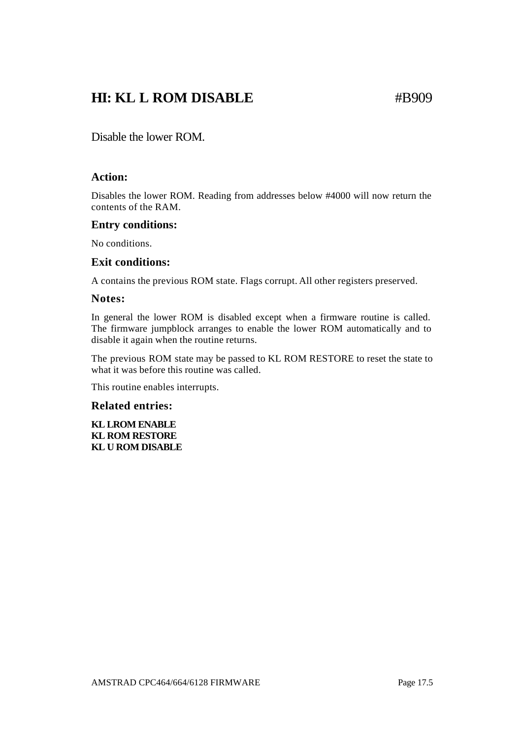### **HI: KL L ROM DISABLE** #B909

Disable the lower ROM.

### **Action:**

Disables the lower ROM. Reading from addresses below #4000 will now return the contents of the RAM.

### **Entry conditions:**

No conditions.

### **Exit conditions:**

A contains the previous ROM state. Flags corrupt. All other registers preserved.

### **Notes:**

In general the lower ROM is disabled except when a firmware routine is called. The firmware jumpblock arranges to enable the lower ROM automatically and to disable it again when the routine returns.

The previous ROM state may be passed to KL ROM RESTORE to reset the state to what it was before this routine was called.

This routine enables interrupts.

### **Related entries:**

**KL LROM ENABLE KL ROM RESTORE KL U ROM DISABLE**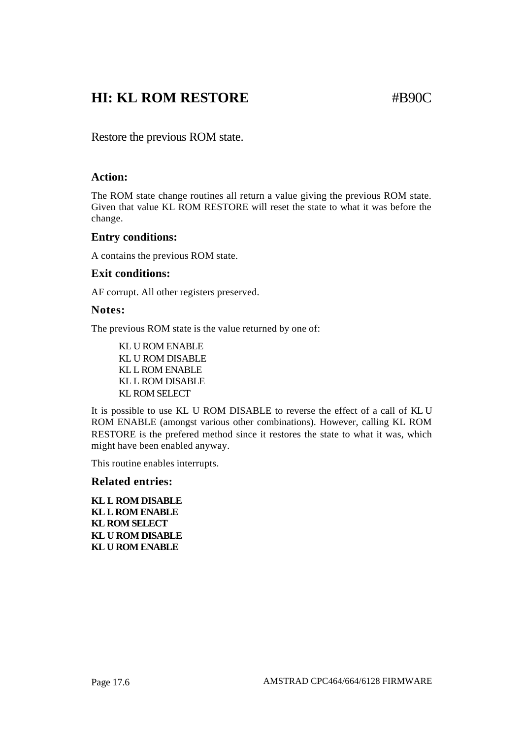### **HI: KL ROM RESTORE** #B90C

Restore the previous ROM state.

### **Action:**

The ROM state change routines all return a value giving the previous ROM state. Given that value KL ROM RESTORE will reset the state to what it was before the change.

### **Entry conditions:**

A contains the previous ROM state.

### **Exit conditions:**

AF corrupt. All other registers preserved.

### **Notes:**

The previous ROM state is the value returned by one of:

KL U ROM ENABLE KL U ROM DISABLE KL L ROM ENABLE KL L ROM DISABLE KL ROM SELECT

It is possible to use KL U ROM DISABLE to reverse the effect of a call of KL U ROM ENABLE (amongst various other combinations). However, calling KL ROM RESTORE is the prefered method since it restores the state to what it was, which might have been enabled anyway.

This routine enables interrupts.

### **Related entries:**

**KL L ROM DISABLE KL L ROM ENABLE KL ROM SELECT KL U ROM DISABLE KL U ROM ENABLE**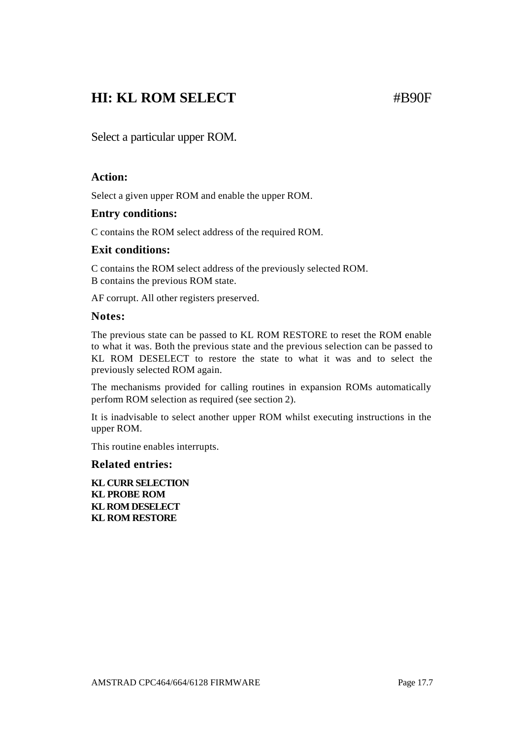### **HI: KL ROM SELECT** #B90F

Select a particular upper ROM.

### **Action:**

Select a given upper ROM and enable the upper ROM.

### **Entry conditions:**

C contains the ROM select address of the required ROM.

### **Exit conditions:**

C contains the ROM select address of the previously selected ROM. B contains the previous ROM state.

AF corrupt. All other registers preserved.

### **Notes:**

The previous state can be passed to KL ROM RESTORE to reset the ROM enable to what it was. Both the previous state and the previous selection can be passed to KL ROM DESELECT to restore the state to what it was and to select the previously selected ROM again.

The mechanisms provided for calling routines in expansion ROMs automatically perform ROM selection as required (see section 2).

It is inadvisable to select another upper ROM whilst executing instructions in the upper ROM.

This routine enables interrupts.

### **Related entries:**

**KL CURR SELECTION KL PROBE ROM KL ROM DESELECT KL ROM RESTORE**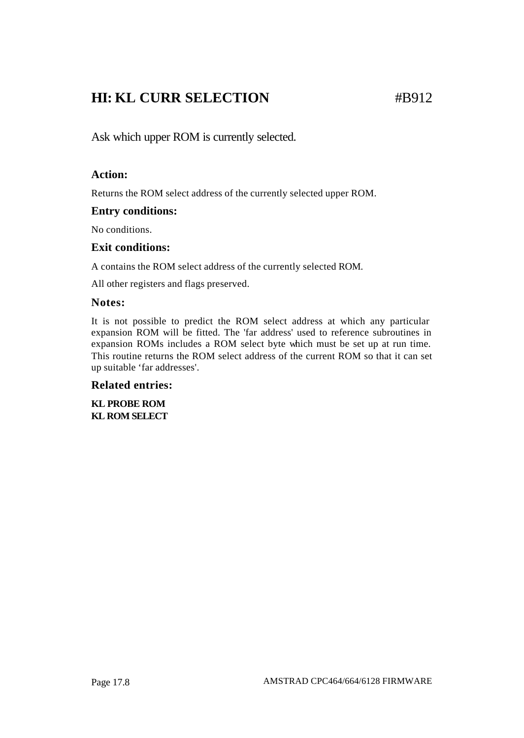### **HI: KL CURR SELECTION** #B912

Ask which upper ROM is currently selected.

### **Action:**

Returns the ROM select address of the currently selected upper ROM.

### **Entry conditions:**

No conditions.

### **Exit conditions:**

A contains the ROM select address of the currently selected ROM.

All other registers and flags preserved.

### **Notes:**

It is not possible to predict the ROM select address at which any particular expansion ROM will be fitted. The 'far address' used to reference subroutines in expansion ROMs includes a ROM select byte which must be set up at run time. This routine returns the ROM select address of the current ROM so that it can set up suitable 'far addresses'.

### **Related entries:**

**KL PROBE ROM KL ROM SELECT**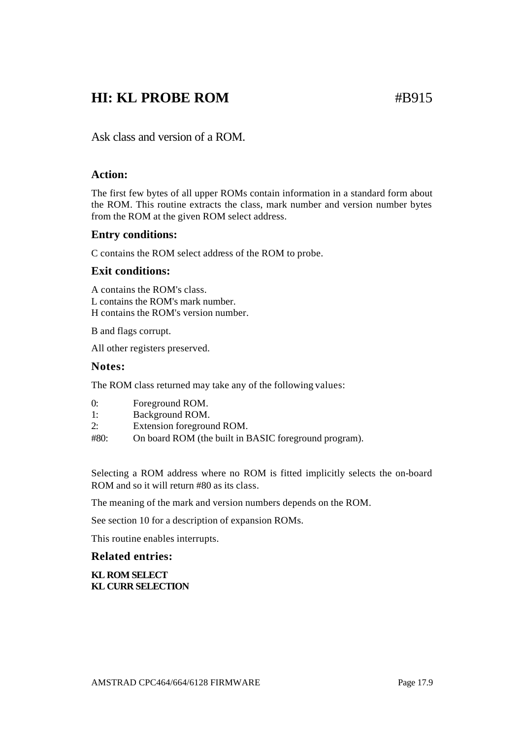### **HI: KL PROBE ROM** #B915

Ask class and version of a ROM.

### **Action:**

The first few bytes of all upper ROMs contain information in a standard form about the ROM. This routine extracts the class, mark number and version number bytes from the ROM at the given ROM select address.

### **Entry conditions:**

C contains the ROM select address of the ROM to probe.

### **Exit conditions:**

A contains the ROM's class. L contains the ROM's mark number. H contains the ROM's version number.

B and flags corrupt.

All other registers preserved.

### **Notes:**

The ROM class returned may take any of the following values:

- 1: Background ROM.
- 2: Extension foreground ROM.
- #80: On board ROM (the built in BASIC foreground program).

Selecting a ROM address where no ROM is fitted implicitly selects the on-board ROM and so it will return #80 as its class.

The meaning of the mark and version numbers depends on the ROM.

See section 10 for a description of expansion ROMs.

This routine enables interrupts.

### **Related entries:**

#### **KL ROM SELECT KL CURR SELECTION**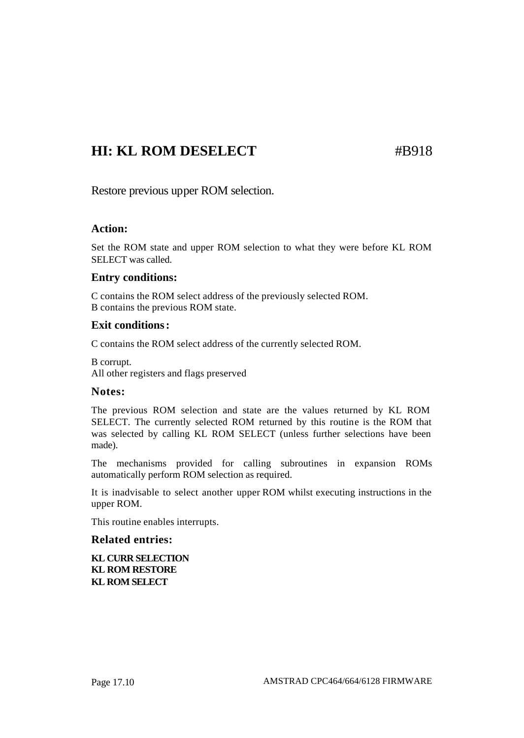### **HI: KL ROM DESELECT** #B918

Restore previous upper ROM selection.

### **Action:**

Set the ROM state and upper ROM selection to what they were before KL ROM SELECT was called.

### **Entry conditions:**

C contains the ROM select address of the previously selected ROM. B contains the previous ROM state.

### **Exit conditions:**

C contains the ROM select address of the currently selected ROM.

B corrupt. All other registers and flags preserved

### **Notes:**

The previous ROM selection and state are the values returned by KL ROM SELECT. The currently selected ROM returned by this routine is the ROM that was selected by calling KL ROM SELECT (unless further selections have been made).

The mechanisms provided for calling subroutines in expansion ROMs automatically perform ROM selection as required.

It is inadvisable to select another upper ROM whilst executing instructions in the upper ROM.

This routine enables interrupts.

### **Related entries:**

**KL CURR SELECTION KL ROM RESTORE KL ROM SELECT**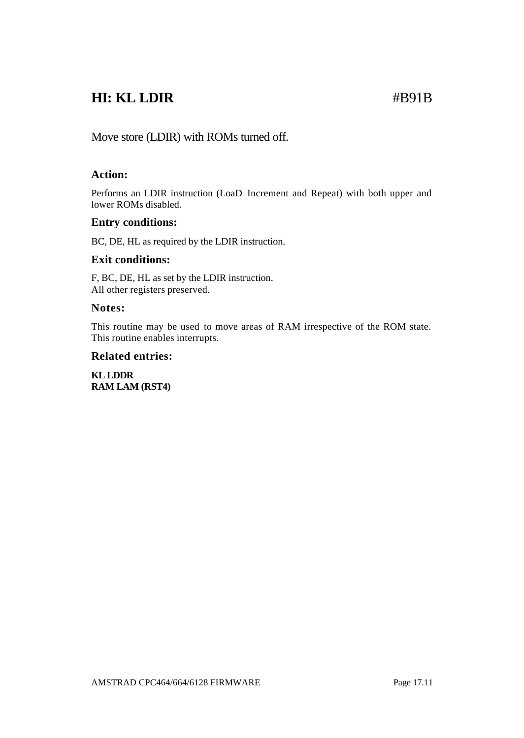### **HI: KL LDIR** #B91B

Move store (LDIR) with ROMs turned off.

### **Action:**

Performs an LDIR instruction (LoaD Increment and Repeat) with both upper and lower ROMs disabled.

### **Entry conditions:**

BC, DE, HL as required by the LDIR instruction.

### **Exit conditions:**

F, BC, DE, HL as set by the LDIR instruction. All other registers preserved.

### **Notes:**

This routine may be used to move areas of RAM irrespective of the ROM state. This routine enables interrupts.

### **Related entries:**

**KL LDDR RAM LAM (RST4)**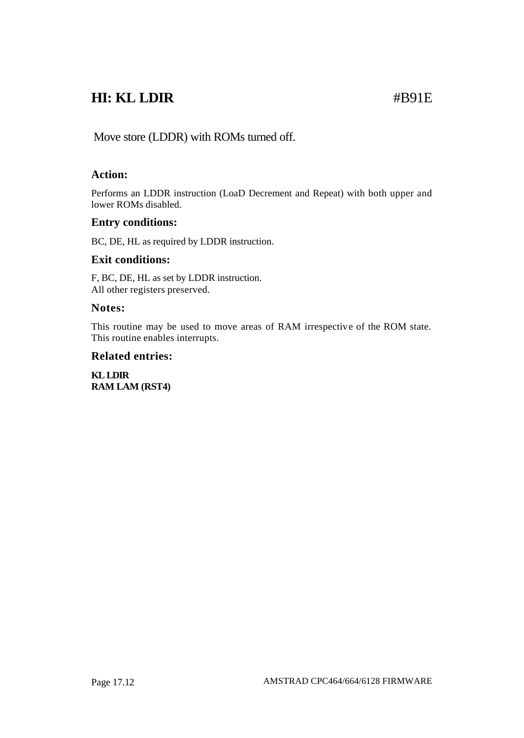## **HI: KL LDIR** #B91E

Move store (LDDR) with ROMs turned off.

### **Action:**

Performs an LDDR instruction (LoaD Decrement and Repeat) with both upper and lower ROMs disabled.

### **Entry conditions:**

BC, DE, HL as required by LDDR instruction.

### **Exit conditions:**

F, BC, DE, HL as set by LDDR instruction. All other registers preserved.

### **Notes:**

This routine may be used to move areas of RAM irrespective of the ROM state. This routine enables interrupts.

### **Related entries:**

**KL LDIR RAM LAM (RST4)**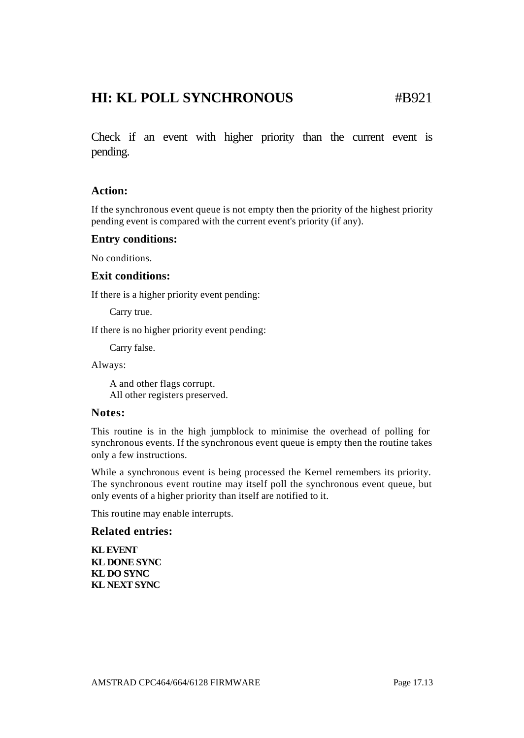### **HI: KL POLL SYNCHRONOUS** #B921

Check if an event with higher priority than the current event is pending.

### **Action:**

If the synchronous event queue is not empty then the priority of the highest priority pending event is compared with the current event's priority (if any).

### **Entry conditions:**

No conditions.

#### **Exit conditions:**

If there is a higher priority event pending:

Carry true.

If there is no higher priority event pending:

Carry false.

Always:

A and other flags corrupt. All other registers preserved.

### **Notes:**

This routine is in the high jumpblock to minimise the overhead of polling for synchronous events. If the synchronous event queue is empty then the routine takes only a few instructions.

While a synchronous event is being processed the Kernel remembers its priority. The synchronous event routine may itself poll the synchronous event queue, but only events of a higher priority than itself are notified to it.

This routine may enable interrupts.

#### **Related entries:**

**KL EVENT KL DONE SYNC KL DO SYNC KL NEXT SYNC**